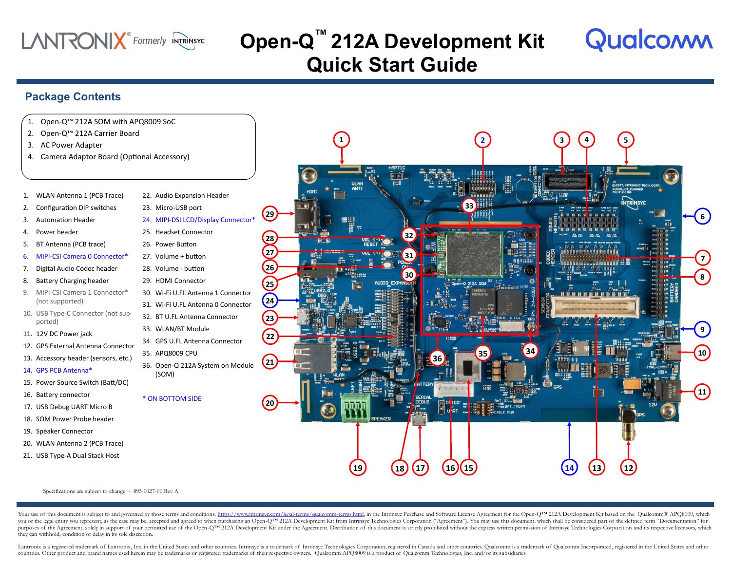### **LANTRONIX** Formerly INTRINSYC

## **Open-Q ™ 212A Development Kit Quick Start Guide**

### **Package Contents**

#### 1. Open-Q™ 212A SOM with APQ8009 SoC

- 2. Open-Q™ 212A Carrier Board
- 3. AC Power Adapter
- 4. Camera Adaptor Board (Optional Accessory)
- 1. WLAN Antenna 1 (PCB Trace)
- 2. Configuration DIP switches
- 3. Automation Header
- 4. Power header
- 5. BT Antenna (PCB trace)
- 6. MIPI-CSI Camera 0 Connector\*
- 7. Digital Audio Codec header
- 8. Battery Charging header
- 9. MIPI-CSI Camera 1 Connector\* (not supported)
- 10. USB Type-C Connector (not supported)
- 11. 12V DC Power jack
- 12. GPS External Antenna Connector
- 13. Accessory header (sensors, etc.)
- 14. GPS PCB Antenna\*
- 15. Power Source Switch (Batt/DC)
- 16. Battery connector
- 17. USB Debug UART Micro B
- 18. SOM Power Probe header
- 
- 20. WLAN Antenna 2 (PCB Trace)
- 21. USB Type-A Dual Stack Host

22. Audio Expansion Header 23. Micro-USB port 24. MIPI-DSI LCD/Display Connector\* 25. Headset Connector 26. Power Button 27. Volume + button 28. Volume - button 29. HDMI Connector 30. Wi-Fi U.FL Antenna 1 Connector 31. Wi-Fi U.FL Antenna 0 Connector 32. BT U.FL Antenna Connector 33. WLAN/BT Module 34. GPS U.FL Antenna Connector 35. APQ8009 CPU 36. Open-Q 212A System on Module (SOM) **22 29 24 25 23 21 26 27 28**

#### \* ON BOTTOM SIDE



- 19. Speaker Connector
	-
- 



Qualcomm

Specifications are subject to change - 895-0027-00 Rev A

Your use of this document is subject to and governed by those terms and conditions, [https://www.intrinsyc.com/legal-terms/qualcomm-terms.html,](https://www.intrinsyc.com/legal-terms/qualcomm-terms.html) in the Intrinsyc Purchase and Software License Agreement for the Open-QTM 212A you or the legal entity you represent, as the case may be, accepted and agreed to when purchasing an Open-QTM 212A Development Kit from Intrinsyc Technologies Corporation ("Agreement"). You may use this document, which sha purposes of the Agreement, solely in support of your permitted use of the Open-QTM 212A Development Kit under the Agreement. Distribution of this document is strictly prohibited without the express written permission of In they can withhold, condition or delay in its sole discretion.

Lantronix is a registered trademark of Lantronix, Inc. in the United States and other countries. Intrinsive is a trademark of Intrinsive Technologies Corporation, registered in Canada and other countries. Qualcomm is a tra countries. Other product and brand names used herein may be trademarks or registered trademarks of their respective owners. Qualcomm APQ8009 is a product of Qualcomm Technologies, Inc. and/or its subsidiaries.